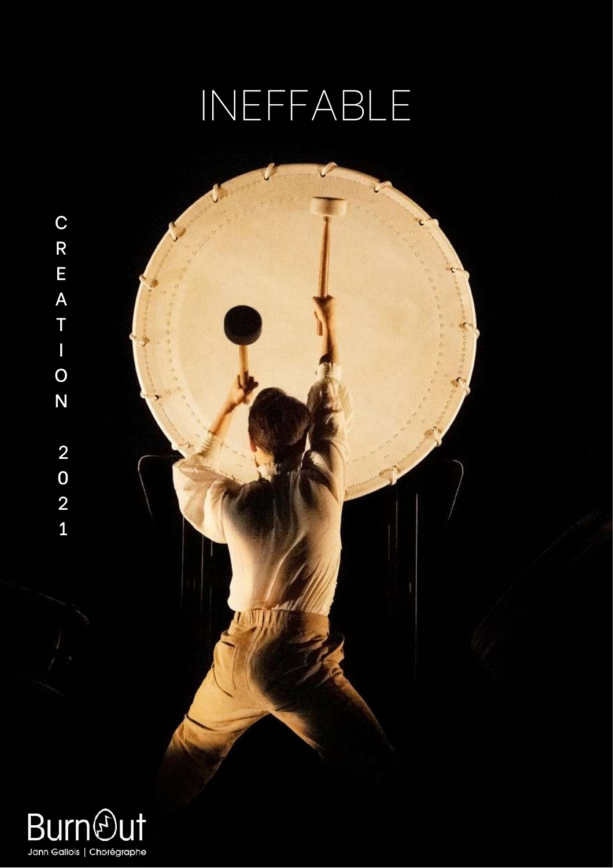# INEFFABLE



Jann Gallois | Chorégraphe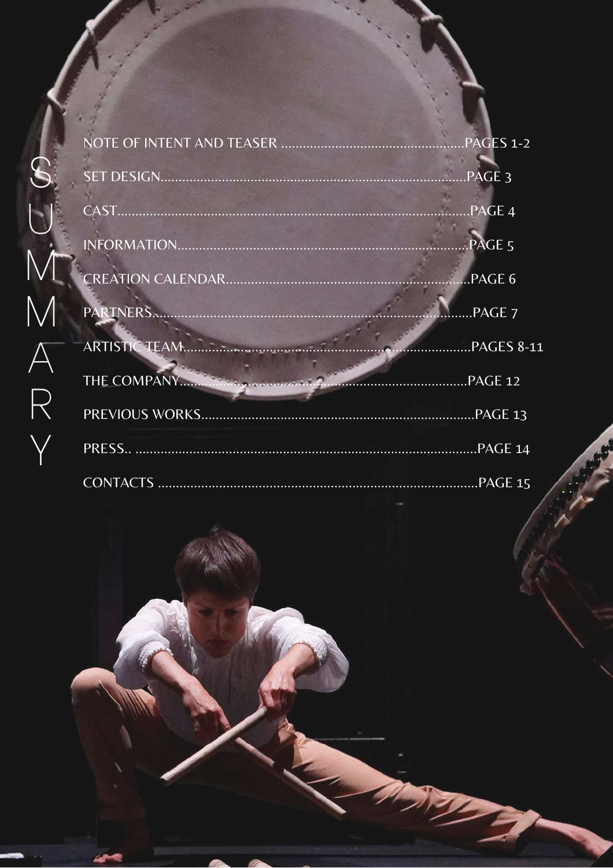| PAGES 1-2         |
|-------------------|
| PAGE <sub>3</sub> |
| PAGE 4            |
| PAGE <sub>5</sub> |
| PAGE 6            |
| $$ PAGE $7$       |
| .PAGES 8-11       |
| PAGE 12           |
|                   |
| PAGE 14           |
| PAGE 15           |

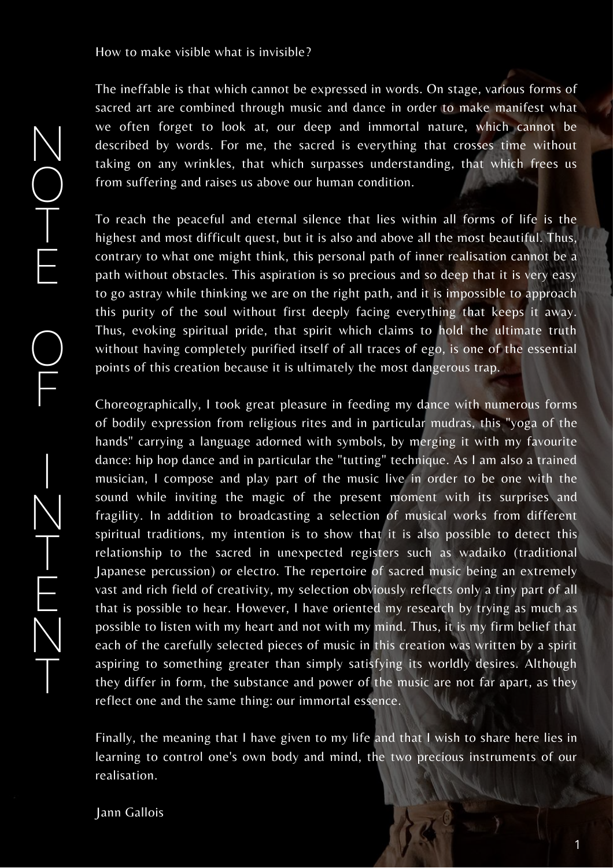How to make visible what is invisible?

N

O

T

E

O

F

I

N

T

E

N

T

The ineffable is that which cannot be expressed in words. On stage, various forms of sacred art are combined through music and dance in order to make manifest what we often forget to look at, our deep and immortal nature, which cannot be described by words. For me, the sacred is everything that crosses time without taking on any wrinkles, that which surpasses understanding, that which frees us from suffering and raises us above our human condition.

To reach the peaceful and eternal silence that lies within all forms of life is the highest and most difficult quest, but it is also and above all the most beautiful. Thus, contrary to what one might think, this personal path of inner realisation cannot be a path without obstacles. This aspiration is so precious and so deep that it is very easy to go astray while thinking we are on the right path, and it is impossible to approach this purity of the soul without first deeply facing everything that keeps it away. Thus, evoking spiritual pride, that spirit which claims to hold the ultimate truth without having completely purified itself of all traces of ego, is one of the essential points of this creation because it is ultimately the most dangerous trap.

Choreographically, I took great pleasure in feeding my dance with numerous forms of bodily expression from religious rites and in particular mudras, this "yoga of the hands" carrying a language adorned with symbols, by merging it with my favourite dance: hip hop dance and in particular the "tutting" technique. As I am also a trained musician, I compose and play part of the music live in order to be one with the sound while inviting the magic of the present moment with its surprises and fragility. In addition to broadcasting a selection of musical works from different spiritual traditions, my intention is to show that it is also possible to detect this relationship to the sacred in unexpected registers such as wadaiko (traditional Japanese percussion) or electro. The repertoire of sacred music being an extremely vast and rich field of creativity, my selection obviously reflects only a tiny part of all that is possible to hear. However, I have oriented my research by trying as much as possible to listen with my heart and not with my mind. Thus, it is my firm belief that each of the carefully selected pieces of music in this creation was written by a spirit aspiring to something greater than simply satisfying its worldly desires. Although they differ in form, the substance and power of the music are not far apart, as they reflect one and the same thing: our immortal essence.

Finally, the meaning that I have given to my life and that I wish to share here lies in learning to control one's own body and mind, the two precious instruments of our realisation.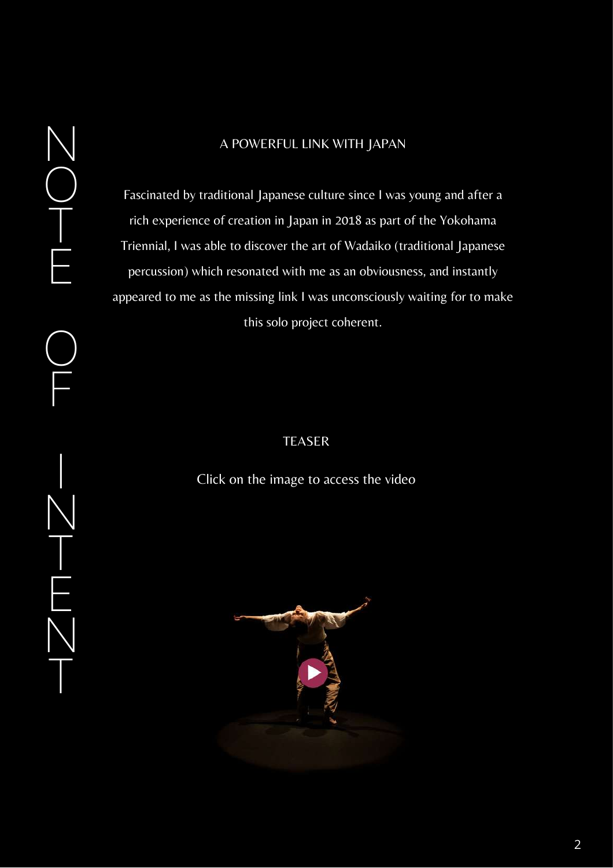## N O T E  $Q$

F

I

N

T

E

N

T

#### A POWERFUL LINK WITH JAPAN

Fascinated by traditional Japanese culture since I was young and after a rich experience of creation in Japan in 2018 as part of the Yokohama Triennial, I was able to discover the art of Wadaiko (traditional Japanese percussion) which resonated with me as an obviousness, and instantly appeared to me as the missing link I was unconsciously waiting for to make this solo project coherent.

## TEASER

Click on the image to access the video

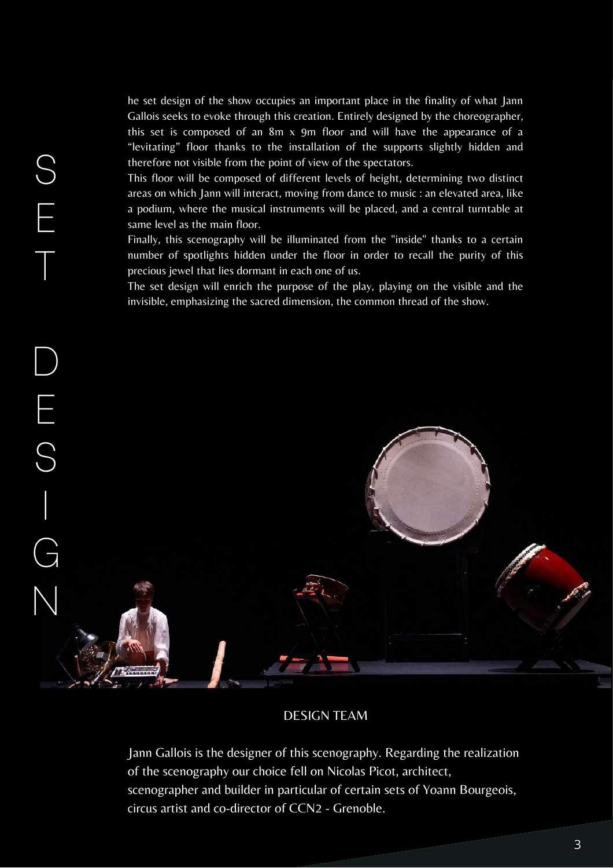he set design of the show occupies an important place in the finality of what Jann Gallois seeks to evoke through this creation. Entirely designed by the choreographer, this set is composed of an  $8m \times 9m$  floor and will have the appearance of a "levitating" floor thanks to the installation of the supports slightly hidden and therefore not visible from the point of view of the spectators.

This floor will be composed of different levels of height, determining two distinct areas on which Jann will interact, moving from dance to music : an elevated area, like a podium, where the musical instruments will be placed, and a central turntable at same level as the main floor.

S

E

T

Finally, this scenography will be illuminated from the "inside" thanks to a certain number of spotlights hidden under the floor in order to recall the purity of this precious jewel that lies dormant in each one of us.

The set design will enrich the purpose of the play, playing on the visible and the invisible, emphasizing the sacred dimension, the common thread of the show.



#### DESIGN TEAM

Jann Gallois is the designer of this scenography. Regarding the realization of the scenography our choice fell on Nicolas Picot, architect, scenographer and builder in particular of certain sets of Yoann Bourgeois, circus artist and co-director of CCN2 - Grenoble.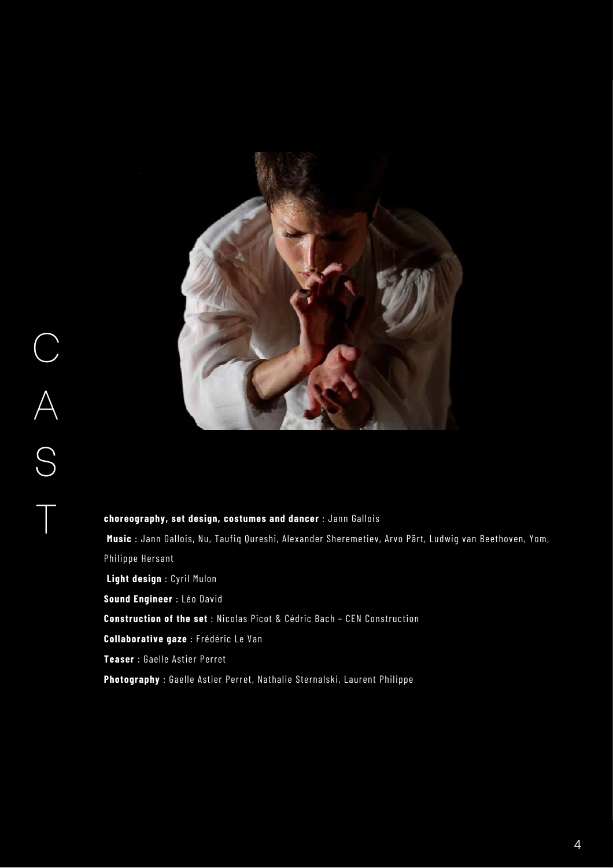

**choreography, set design, costumes and dancer** : Jann Gallois **Music** : Jann Gallois, Nu, Taufiq Qureshi, Alexander Sheremetiev, Arvo Pärt, Ludwig van Beethoven, Yom, Philippe Hersant **Light design** : Cyril Mulon **Sound Engineer** : Léo David **Construction of the set** : Nicolas Picot & Cédric Bach – CEN Construction **Collaborative gaze** : Frédéric Le Van **Teaser** : Gaelle Astier Perret **Photography** : Gaelle Astier Perret, Nathalie Sternalski, Laurent Philippe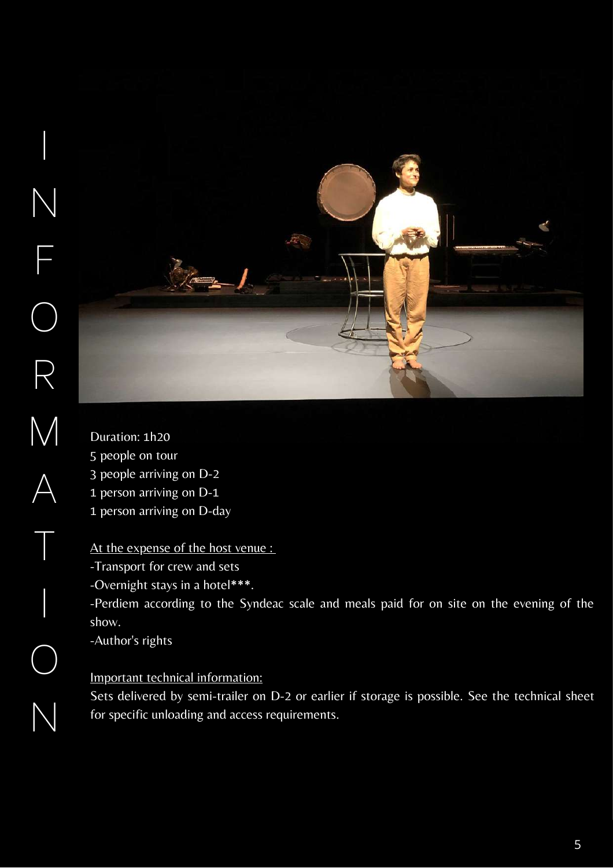

Duration: 1h20 people on tour people arriving on D-2 person arriving on D-1 person arriving on D-day

At the expense of the host venue :

-Transport for crew and sets

-Overnight stays in a hotel\*\*\*.

-Perdiem according to the Syndeac scale and meals paid for on site on the evening of the show.

-Author's rights

## Important technical information:

Sets delivered by semi-trailer on D-2 or earlier if storage is possible. See the technical sheet for specific unloading and access requirements.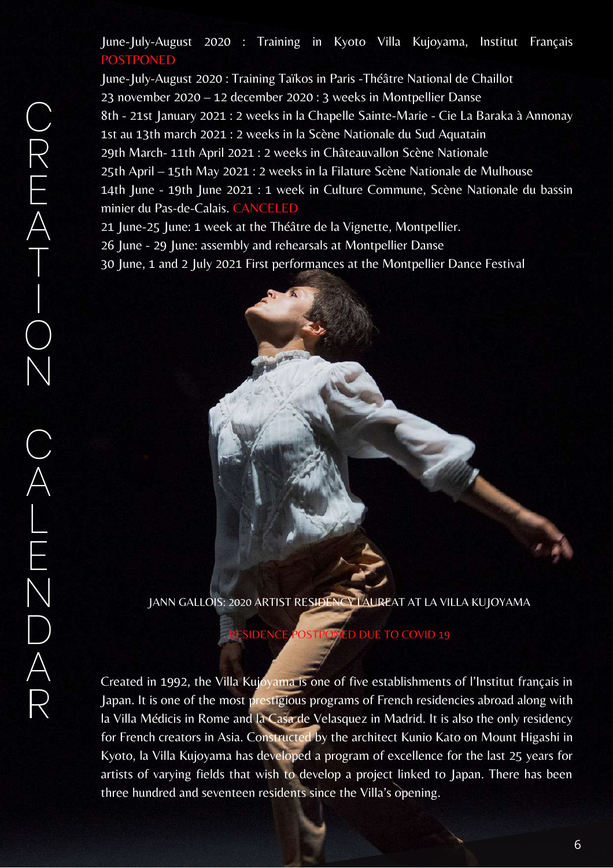June-July-August 2020 : Training in Kyoto Villa Kujoyama, Institut Français POSTPONED

June-July-August 2020 : Training Taïkos in Paris -Théâtre National de Chaillot 23 november 2020 – 12 december 2020 : 3 weeks in Montpellier Danse 8th - 21st January 2021 : 2 weeks in la Chapelle Sainte-Marie - Cie La Baraka à Annonay 1st au 13th march 2021 : 2 weeks in la Scène Nationale du Sud Aquatain 29th March- 11th April 2021 : 2 weeks in Châteauvallon Scène Nationale 25th April – 15th May 2021 : 2 weeks in la Filature Scène Nationale de Mulhouse 14th June - 19th June 2021 : 1 week in Culture Commune, Scène Nationale du bassin minier du Pas-de-Calais. CANCELED

21 June-25 June: 1 week at the Théâtre de la Vignette, Montpellier.

26 June - 29 June: assembly and rehearsals at Montpellier Danse

30 June, 1 and 2 July 2021 First performances at the Montpellier Dance Festival



JANN GALLOIS: 2020 ARTIST RESIDENCY LAUREAT AT LA VILLA KUJOYAMA

**SIDENCE POSTPONED DUE TO COVID 19** 

Created in 1992, the Villa Kujoyama is one of five establishments of l'Institut français in Japan. It is one of the most prestigious programs of French residencies abroad along with la Villa Médicis in Rome and la Casa de Velasquez in Madrid. It is also the only residency for French creators in Asia. Constructed by the architect Kunio Kato on Mount Higashi in Kyoto, la Villa Kujoyama has developed a program of excellence for the last 25 years for artists of varying fields that wish to develop a project linked to Japan. There has been three hundred and seventeen residents since the Villa's opening.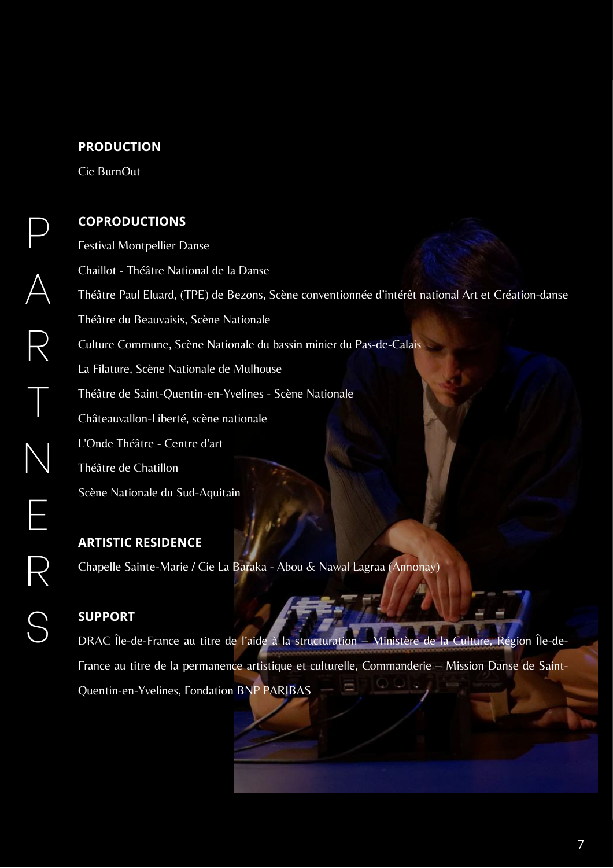#### **PRODUCTION**

Cie BurnOut

P

 $\bigwedge$ 

R

T

N

E

IR

S

#### **COPRODUCTIONS**

Festival Montpellier Danse Chaillot - Théâtre National de la Danse Théâtre Paul Eluard, (TPE) de Bezons, Scène conventionnée d'intérêt national Art et Création-danse Théâtre du Beauvaisis, Scène Nationale Culture Commune, Scène Nationale du bassin minier du Pas-de-Calais La Filature, Scène Nationale de Mulhouse Théâtre de Saint-Quentin-en-Yvelines - Scène Nationale Châteauvallon-Liberté, scène nationale L'Onde Théâtre - Centre d'art Théâtre de Chatillon Scène Nationale du Sud-Aquitain

**ARTISTIC RESIDENCE**

Chapelle Sainte-Marie / Cie La Baraka - Abou & Nawal Lagraa (Annonay)

#### **SUPPORT**

DRAC Île-de-France au titre de l'aide à la structuration – Ministère de la Culture, Région Île-de-France au titre de la permanence artistique et culturelle, Commanderie – Mission Danse de Saint-Quentin-en-Yvelines, Fondation BNP PARIBAS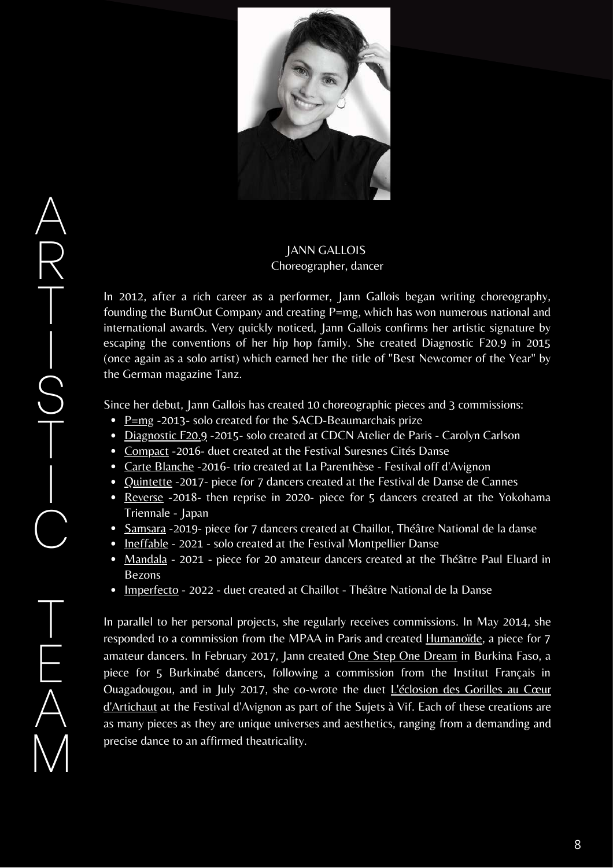

#### JANN GALLOIS Choreographer, dancer

In 2012, after a rich career as a performer, Jann Gallois began writing choreography, founding the BurnOut Company and creating P=mg, which has won numerous national and international awards. Very quickly noticed, Jann Gallois confirms her artistic signature by escaping the conventions of her hip hop family. She created Diagnostic F20.9 in 2015 (once again as a solo artist) which earned her the title of "Best Newcomer of the Year" by the German magazine Tanz.

Since her debut, Jann Gallois has created 10 choreographic pieces and 3 commissions:

- $P=mg 2013$  solo created for the SACD-Beaumarchais prize
- Diagnostic F20.9 -2015- solo created at CDCN Atelier de Paris Carolyn Carlson
- Compact -2016- duet created at the Festival Suresnes Cités Danse
- Carte Blanche -2016- trio created at La Parenthèse Festival off d'Avignon
- Quintette -2017- piece for 7 dancers created at the Festival de Danse de Cannes
- Reverse -2018- then reprise in 2020- piece for 5 dancers created at the Yokohama Triennale - Japan
- Samsara -2019- piece for 7 dancers created at Chaillot, Théâtre National de la danse
- Ineffable 2021 solo created at the Festival Montpellier Danse
- Mandala 2021 piece for 20 amateur dancers created at the Théâtre Paul Eluard in Bezons
- Imperfecto 2022 duet created at Chaillot Théâtre National de la Danse

In parallel to her personal projects, she regularly receives commissions. In May 2014, she responded to a commission from the MPAA in Paris and created Humanoïde, a piece for 7 amateur dancers. In February 2017, Jann created **One Step One Dream** in Burkina Faso, a piece for 5 Burkinabé dancers, following a commission from the Institut Français in Ouagadougou, and in July 2017, she co-wrote the duet L'éclosion des Gorilles au Cœur d'Artichaut at the Festival d'Avignon as part of the Sujets à Vif. Each of these creations are as many pieces as they are unique universes and aesthetics, ranging from a demanding and precise dance to an affirmed theatricality.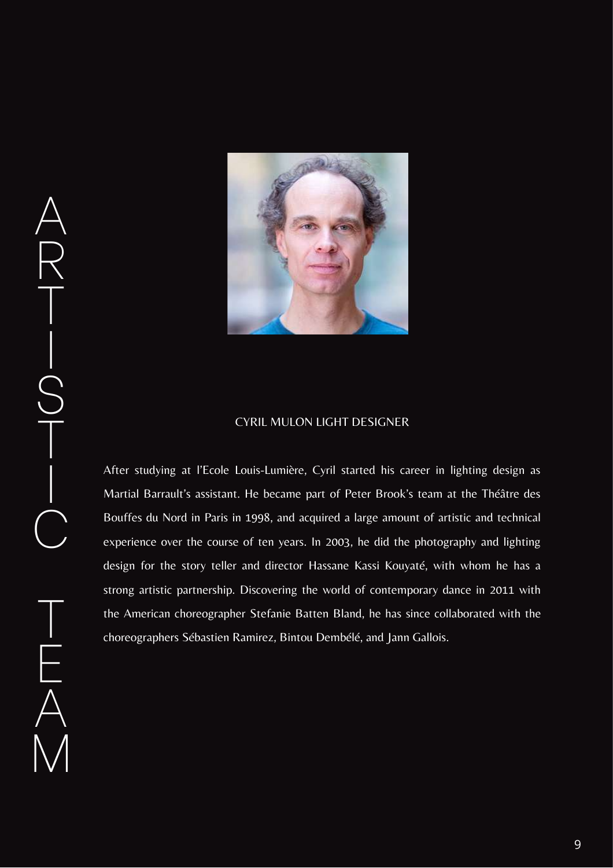

#### CYRIL MULON LIGHT DESIGNER

After studying at l'Ecole Louis-Lumière, Cyril started his career in lighting design as Martial Barrault's assistant. He became part of Peter Brook's team at the Théâtre des Bouffes du Nord in Paris in 1998, and acquired a large amount of artistic and technical experience over the course of ten years. In 2003, he did the photography and lighting design for the story teller and director Hassane Kassi Kouyaté, with whom he has a strong artistic partnership. Discovering the world of contemporary dance in 2011 with the American choreographer Stefanie Batten Bland, he has since collaborated with the choreographers Sébastien Ramirez, Bintou Dembélé, and Jann Gallois.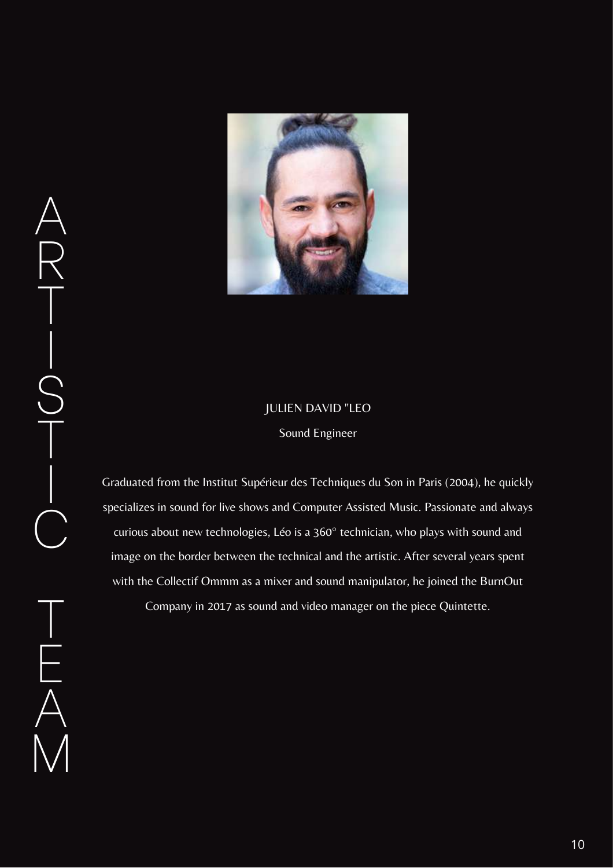

## JULIEN DAVID "LEO Sound Engineer

Graduated from the Institut Supérieur des Techniques du Son in Paris (2004), he quickly specializes in sound for live shows and Computer Assisted Music. Passionate and always curious about new technologies, Léo is a 360° technician, who plays with sound and image on the border between the technical and the artistic. After several years spent with the Collectif Ommm as a mixer and sound manipulator, he joined the BurnOut

Company in 2017 as sound and video manager on the piece Quintette.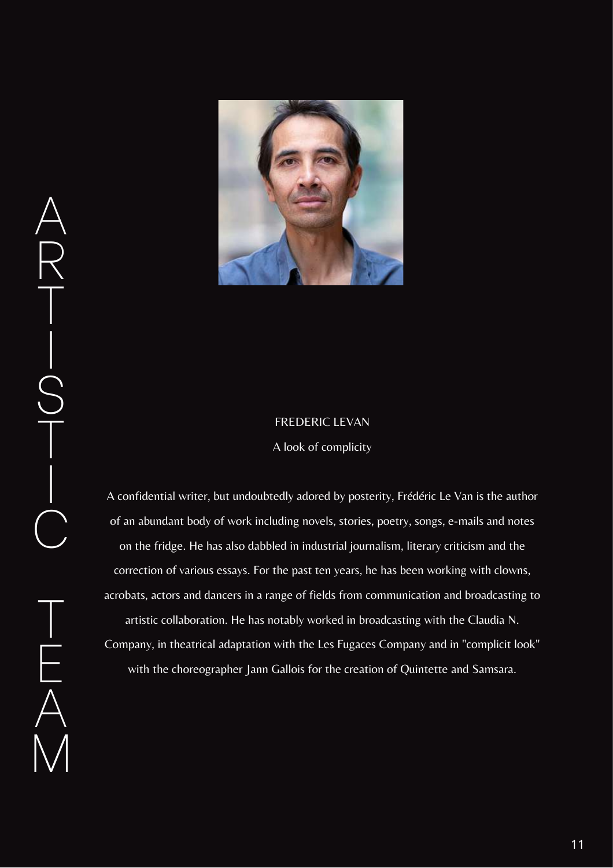

#### FREDERIC LEVAN

A look of complicity

A confidential writer, but undoubtedly adored by posterity, Frédéric Le Van is the author of an abundant body of work including novels, stories, poetry, songs, e-mails and notes on the fridge. He has also dabbled in industrial journalism, literary criticism and the correction of various essays. For the past ten years, he has been working with clowns, acrobats, actors and dancers in a range of fields from communication and broadcasting to artistic collaboration. He has notably worked in broadcasting with the Claudia N. Company, in theatrical adaptation with the Les Fugaces Company and in "complicit look" with the choreographer Jann Gallois for the creation of Quintette and Samsara.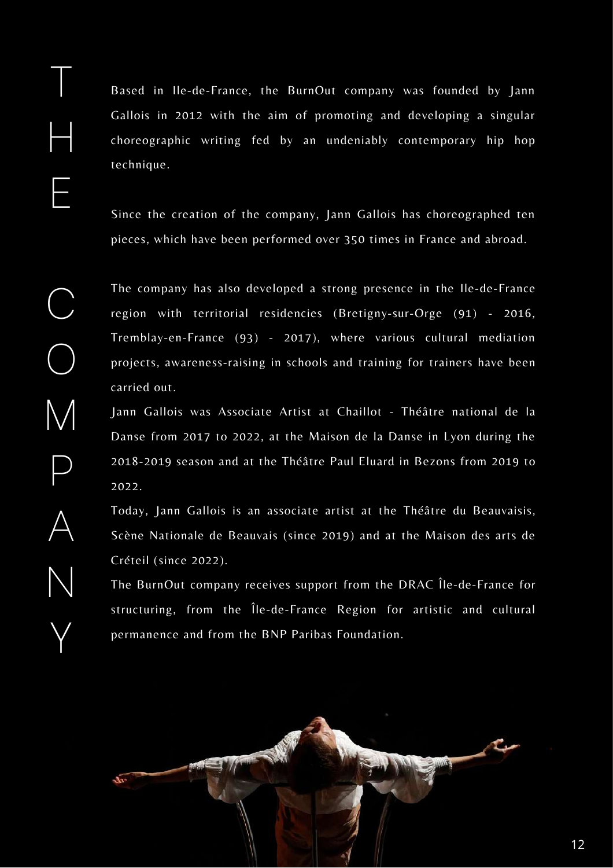Based in Ile-de-France, the BurnOut company was founded by Jann Gallois in 2012 with the aim of promoting and developing a singular choreographic writing fed by an undeniably contemporary hip hop technique.

Since the creation of the company, Jann Gallois has choreographed ten pieces, which have been performed over 350 times in France and abroad.

The company has also developed a strong presence in the Ile-de-France region with territorial residencies (Bretigny-sur-Orge (91) - 2016, Tremblay-en-France (93) - 2017), where various cultural mediation projects, awareness-raising in schools and training for trainers have been carried out.

Jann Gallois was Associate Artist at Chaillot - Théâtre national de la Danse from 2017 to 2022, at the Maison de la Danse in Lyon during the 2018-2019 season and at the Théâtre Paul Eluard in Bezons from 2019 to 2022.

Today, Jann Gallois is an associate artist at the Théâtre du Beauvaisis, Scène Nationale de Beauvais (since 2019) and at the Maison des arts de Créteil (since 2022).

The BurnOut company receives support from the DRAC Île-de-France for structuring, from the Île-de-France Region for artistic and cultural permanence and from the BNP Paribas Foundation.



T

H

E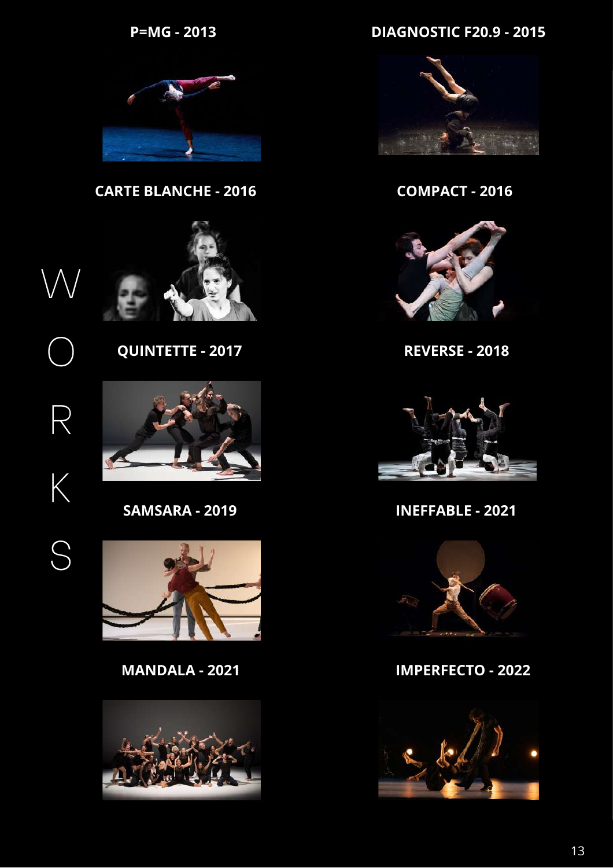**P=MG - 2013**

**DIAGNOSTIC F20.9 - 2015**



**QUINTETTE - 2017 REVERSE - 2018**



**CARTE BLANCHE - 2016 COMPACT - 2016**



W O R

K

S







**MANDALA - 2021 IMPERFECTO - 2022**



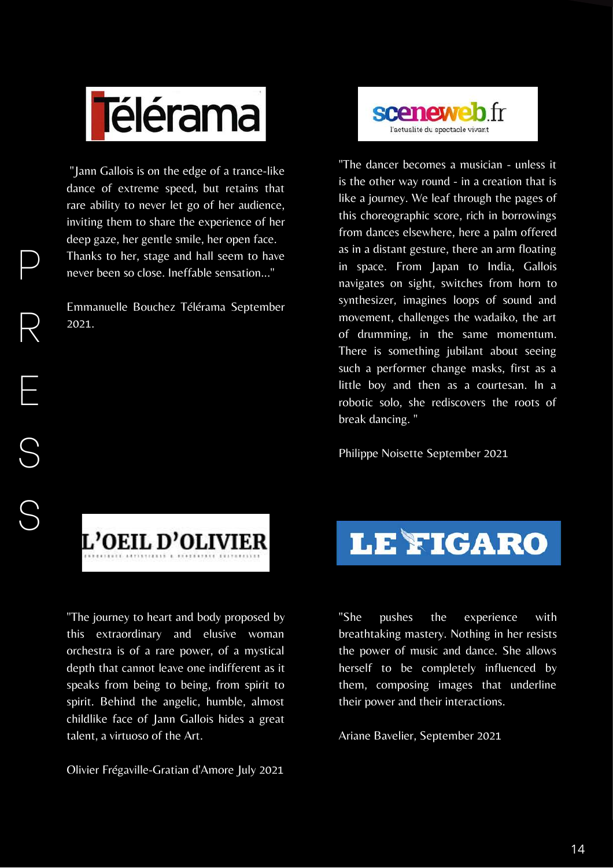

"Jann Gallois is on the edge of a trance-like dance of extreme speed, but retains that rare ability to never let go of her audience, inviting them to share the experience of her deep gaze, her gentle smile, her open face. Thanks to her, stage and hall seem to have never been so close. Ineffable sensation..."

Emmanuelle Bouchez Télérama September 2021.



"The dancer becomes a musician - unless it is the other way round - in a creation that is like a journey. We leaf through the pages of this choreographic score, rich in borrowings from dances elsewhere, here a palm offered as in a distant gesture, there an arm floating in space. From Japan to India, Gallois navigates on sight, switches from horn to synthesizer, imagines loops of sound and movement, challenges the wadaiko, the art of drumming, in the same momentum. There is something jubilant about seeing such a performer change masks, first as a little boy and then as a courtesan. In a robotic solo, she rediscovers the roots of break dancing. "

Philippe Noisette September 2021



"The journey to heart and body proposed by this extraordinary and elusive woman orchestra is of a rare power, of a mystical depth that cannot leave one indifferent as it speaks from being to being, from spirit to spirit. Behind the angelic, humble, almost childlike face of Jann Gallois hides a great talent, a virtuoso of the Art.

Olivier Frégaville-Gratian d'Amore July 2021



"She pushes the experience with breathtaking mastery. Nothing in her resists the power of music and dance. She allows herself to be completely influenced by them, composing images that underline their power and their interactions.

Ariane Bavelier, September 2021